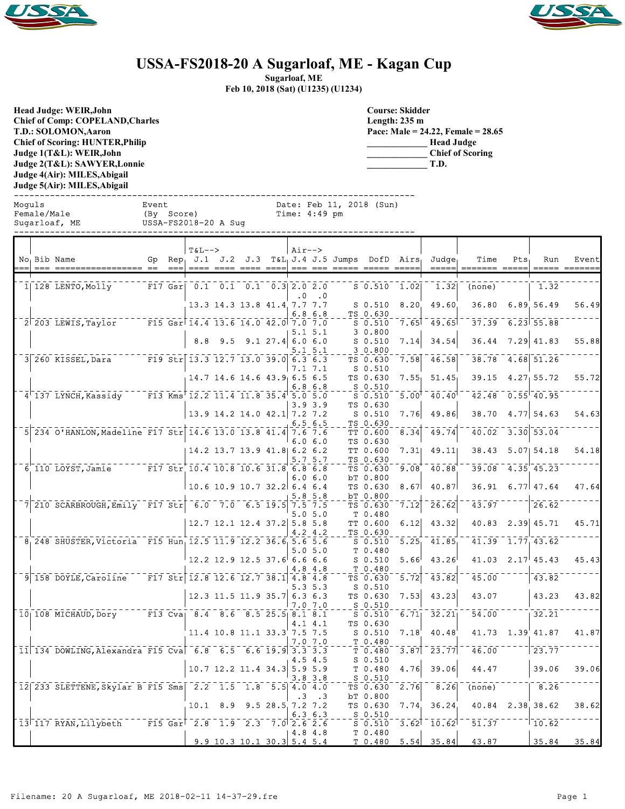



## **USSA-FS2018-20 A Sugarloaf, ME - Kagan Cup**

**Sugarloaf, ME**

**Feb 10, 2018 (Sat) (U1235) (U1234)**

**Head Judge: WEIR,John Chief of Comp: COPELAND,Charles T.D.: SOLOMON,Aaron Chief of Scoring: HUNTER,Philip Judge 1(T&L): WEIR,John Judge 2(T&L): SAWYER,Lonnie Judge 4(Air): MILES,Abigail Judge 5(Air): MILES,Abigail** 

**Course: Skidder Length: 235 m Pace: Male = 24.22, Female = 28.65 \_\_\_\_\_\_\_\_\_\_\_\_\_ Head Judge \_\_\_\_\_\_\_\_\_\_\_\_\_ Chief of Scoring \_\_\_\_\_\_\_\_\_\_\_\_\_ T.D.**

------------------------------------------------------------------------------ Moguls Event Date: Feb 11, 2018 (Sun) Female/Male (By Score) Time: 4:49 pm Sugarloaf, ME USSA-FS2018-20 A Sug

|  | No Bib Name<br>=== ========                                  | $= -$     | $T&L-->$<br>Gp Rep. $J.1$ $J.2$ $J.3$                                                                |     |                                     |               | $Air--$   | $\begin{array}{cccc}\n- & - & - & - \\ - & - & - \\ - & - & - \\ - & - & - \\ - & - & - \\ - & - & - \\ - & - & - \\ - & - & - \\ - & - & - \\ - & - & - \\ - & - & - \\ - & - & - \\ - & - & - \\ - & - & - \\ - & - & - \\ - & - & - \\ - & - & - \\ - & - & - \\ - & - & - \\ - & - & - \\ - & - & - \\ - & - & - \\ - & - & - \\ - & - & - \\ - & - & - \\ - & - & - \\ - & - & - \\ - & - & - \\ - & - & - \\ - & - & - \\ - & - & - \\ - & - & - \\ - & - & - \\ - & - & - \\ - & - & - \\ $ | $T_{\&L_{\parallel}}$ J.4 J.5 Jumps DofD Airs | ===== ===== ====       |                   | Judge <sub>1</sub><br>----- | Time                | Pts | Run                                  | Event |
|--|--------------------------------------------------------------|-----------|------------------------------------------------------------------------------------------------------|-----|-------------------------------------|---------------|-----------|----------------------------------------------------------------------------------------------------------------------------------------------------------------------------------------------------------------------------------------------------------------------------------------------------------------------------------------------------------------------------------------------------------------------------------------------------------------------------------------------------|-----------------------------------------------|------------------------|-------------------|-----------------------------|---------------------|-----|--------------------------------------|-------|
|  | 1 128 LENTO, Molly                                           | $F17$ Gsr |                                                                                                      |     | $0.1$ $0.1$ $0.1$ $0.3$ $2.0$ $2.0$ |               | $\cdot$ 0 | $\cdot$ 0                                                                                                                                                                                                                                                                                                                                                                                                                                                                                          |                                               | $S$ 0.510 1.02         |                   | 1.32                        | (none)              |     | 1.32                                 |       |
|  |                                                              |           |                                                                                                      |     | 13.3 14.3 13.8 41.4 7.7 7.7         |               |           | 6.86.8                                                                                                                                                                                                                                                                                                                                                                                                                                                                                             |                                               | $S$ 0.510<br>TS 0.630  | 8.20              | 49.60                       | 36.80               |     | 6.89 56.49                           | 56.49 |
|  | $\sqrt{2}$ $\sqrt{203}$ LEWIS, Taylor                        |           | $\overline{F15}$ Gsr $\overline{14.4}$ $\overline{13.6}$ $\overline{14.0}$ $\overline{42.0}$ 7.0 7.0 |     |                                     |               |           | 5.1 5.1                                                                                                                                                                                                                                                                                                                                                                                                                                                                                            |                                               | $S$ 0.510<br>3 0.800   | 7.65              | 49.65                       | 37.39               |     | $6.23 \overline{)55.88}$             |       |
|  |                                                              |           | 8.8                                                                                                  | 9.5 | $9.1 \t27.4 \t6.0 \t6.0$            |               |           | 5.1 5.1                                                                                                                                                                                                                                                                                                                                                                                                                                                                                            |                                               | $S$ 0.510<br>30.800    | 7.14              | 34.54                       | 36.44               |     | $7.29$ 41.83                         | 55.88 |
|  | $3 260$ KISSEL, Dara                                         |           | $\overline{F19}$ Str 13.3 12.7 13.0 39.0 6.3 6.3                                                     |     |                                     |               |           | 7.1 7.1                                                                                                                                                                                                                                                                                                                                                                                                                                                                                            |                                               | TS 0.630<br>$S$ 0.510  | 7.58              | 46.58                       | 38.78               |     | 4.68 51.26                           |       |
|  |                                                              |           |                                                                                                      |     | 14.7 14.6 14.6 43.9 6.5 6.5         |               | 6.8       | 6.8                                                                                                                                                                                                                                                                                                                                                                                                                                                                                                |                                               | TS 0.630<br>S 0.510    | 7.55              | 51.45                       | 39.15               |     | 4.27, 55.72                          | 55.72 |
|  | 4 137 LYNCH, Kassidy F13 Kms 12.2 11.4 11.8 35.4 5.0 5.0     |           |                                                                                                      |     |                                     |               |           | $3.9 \, 3.9$                                                                                                                                                                                                                                                                                                                                                                                                                                                                                       |                                               | $S$ 0.510<br>TS 0.630  | 5.00 <sup>1</sup> | 40.40                       | 42.48               |     | $\overline{0.55}$ $\overline{40.95}$ |       |
|  |                                                              |           |                                                                                                      |     | 13.9 14.2 14.0 42.1 7.2 7.2         |               |           | 6.56.5                                                                                                                                                                                                                                                                                                                                                                                                                                                                                             |                                               | $S_0.510$<br>TS 0.630  | 7.76              | 49.86                       | 38.70               |     | $4.77$ 54.63                         | 54.63 |
|  | 5 234 0'HANLON, Madeline F17 Str 14.6 13.0 13.8 41.4 7.6 7.6 |           |                                                                                                      |     |                                     |               |           | 6.06.0                                                                                                                                                                                                                                                                                                                                                                                                                                                                                             |                                               | TT 0.600<br>TS 0.630   | 8.34              | 49.74                       | 40.02               |     | $3.\overline{30}$ $53.\overline{04}$ |       |
|  |                                                              |           |                                                                                                      |     | 14.2 13.7 13.9 41.8 6.2 6.2         |               |           | 5.7 5.7                                                                                                                                                                                                                                                                                                                                                                                                                                                                                            |                                               | TT 0.600<br>TS 0.630   | 7.31              | 49.11                       | 38.43               |     | $5.07$ $54.18$                       | 54.18 |
|  | $6$ 110 LOYST, Jamie $F17$ Str 10.4 10.8 10.6 31.8 6.8 6.8   |           |                                                                                                      |     |                                     |               |           | 6.06.0                                                                                                                                                                                                                                                                                                                                                                                                                                                                                             |                                               | TS 0.630<br>bT 0.800   | 9.08              | 40.88                       | 39.08               |     | $-4.35$ 45.23                        |       |
|  |                                                              |           |                                                                                                      |     | 10.6 10.9 10.7 32.2 6.4 6.4         |               |           | 5.85.8                                                                                                                                                                                                                                                                                                                                                                                                                                                                                             |                                               | TS 0.630<br>bT 0.800   | 8.67              | 40.87                       | 36.91               |     | $6.77$ 47.64                         | 47.64 |
|  | $7$ 210 SCARBROUGH, Emily F17 Str 6.0 7.0 6.5 19.5           |           |                                                                                                      |     |                                     |               |           | $7.5$ $7.5$<br>5.05.0                                                                                                                                                                                                                                                                                                                                                                                                                                                                              |                                               | TS 0.630<br>T 0.480    | 7.12              | 26.62                       | 43.97               |     | 26.62                                |       |
|  |                                                              |           |                                                                                                      |     | 12.7 12.1 12.4 37.2 5.8 5.8         |               |           | 4.2 4.2                                                                                                                                                                                                                                                                                                                                                                                                                                                                                            |                                               | TT 0.600<br>TS 0.630   | 6.12              | 43.32                       | 40.83               |     | $2.39$ 45.71                         | 45.71 |
|  | 8 248 SHUSTER, Victoria F15 Hun 12.5 11.9 12.2 36.6 5.6 5.6  |           |                                                                                                      |     |                                     |               |           | 5.05.0                                                                                                                                                                                                                                                                                                                                                                                                                                                                                             |                                               | $S$ 0.510<br>T 0.480   | 5.25              | 41.85                       | 41.39               |     | 1.77, 43.62                          |       |
|  |                                                              |           |                                                                                                      |     | $12.2$ 12.9 12.5 37.6 6.6 6.6       |               |           | 4.8 4.8                                                                                                                                                                                                                                                                                                                                                                                                                                                                                            |                                               | $S$ 0.510<br>$T_0.480$ | 5.66              | 43.26                       |                     |     | $41.03$ $2.17$ $45.43$               | 45.43 |
|  | 9 158 DOYLE, Caroline F17 Str 12.8 12.6 12.7 38.1 4.8 4.8    |           |                                                                                                      |     |                                     |               |           | 5.3 5.3                                                                                                                                                                                                                                                                                                                                                                                                                                                                                            |                                               | TS 0.630<br>$S$ 0.510  | 5.72              | 43.82                       | 45.00               |     | 43.82                                |       |
|  |                                                              |           |                                                                                                      |     | 12.3 11.5 11.9 35.7 6.3 6.3         |               |           | 7.07.0                                                                                                                                                                                                                                                                                                                                                                                                                                                                                             |                                               | TS 0.630<br>$S_0.510$  | 7.53              | 43.23                       | 43.07               |     | 43.23                                | 43.82 |
|  | 10 108 MICHAUD, Dory F13 Cva 8.4 8.6 8.5 25.5 8.1 8.1        |           |                                                                                                      |     |                                     |               |           | 4.1 4.1                                                                                                                                                                                                                                                                                                                                                                                                                                                                                            |                                               | $S_0.510$<br>TS 0.630  | 6.71              | 32.21                       | 54.00               |     | 32.21                                |       |
|  |                                                              |           |                                                                                                      |     | 11.4 10.8 11.1 33.3 7.5 7.5         |               |           | 7.0 7.0                                                                                                                                                                                                                                                                                                                                                                                                                                                                                            |                                               | $S$ 0.510<br>T 0.480   | 7.18              | 40.48                       | 41.73               |     | 1.39 41.87                           | 41.87 |
|  | 11 134 DOWLING, Alexandra F15 Cva 6.8 6.5 6.6 19.9 3.3 3.3   |           |                                                                                                      |     |                                     |               |           | 4.5 4.5                                                                                                                                                                                                                                                                                                                                                                                                                                                                                            |                                               | T 0.480<br>$S_0.510$   | 3.87              | 23.77                       | 46.00               |     | 23.77                                |       |
|  |                                                              |           |                                                                                                      |     | 10.7 12.2 11.4 34.3 5.9 5.9         |               | 3.8       | 3.8                                                                                                                                                                                                                                                                                                                                                                                                                                                                                                |                                               | T 0.480<br>$S$ 0.510   | 4.76              | 39.06                       | 44.47               |     | 39.06                                | 39.06 |
|  | 12 233 SLETTENE, Skylar B F15 Sms 2.2 1.5 1.8 5.5 4.0 4.0    |           |                                                                                                      |     |                                     |               | . 3       | $\cdot$ 3                                                                                                                                                                                                                                                                                                                                                                                                                                                                                          |                                               | TS 0.630<br>bT 0.800   | 2.76              | $\bar{8.26}$                | (none)              |     | $-8.26$                              |       |
|  |                                                              |           | $10.1$ 8.9                                                                                           |     |                                     | 9.528.57.27.2 |           | $6.3\;6.3$                                                                                                                                                                                                                                                                                                                                                                                                                                                                                         |                                               | TS 0.630<br>$S$ 0.510  | 7.74.             | 36.24                       |                     |     | 40.84 2.38 38.62                     | 38.62 |
|  | 13 117 RYAN, Lilybeth F15 Gsr 2.8 1.9 2.3 7.0 2.6 2.6        |           |                                                                                                      |     |                                     |               |           | 4.8 4.8                                                                                                                                                                                                                                                                                                                                                                                                                                                                                            |                                               | $S$ 0.510<br>T 0.480   | 3.62              | 10.62                       | $\bar{5}\bar{1}.37$ |     | $1^-10^-$ 62                         |       |
|  |                                                              |           |                                                                                                      |     | $9.9$ 10.3 10.1 30.3 5.4 5.4        |               |           |                                                                                                                                                                                                                                                                                                                                                                                                                                                                                                    |                                               | T 0.480                | 5.54              | 35.84                       | 43.87               |     | 35.84                                | 35.84 |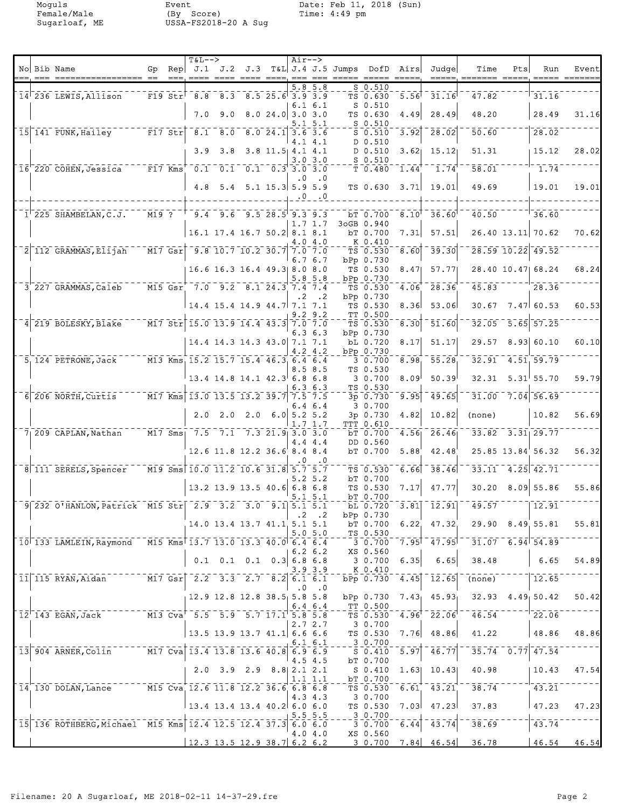Moguls Event Date: Feb 11, 2018 (Sun) Female/Male (By Score) Time: 4:49 pm Sugarloaf, ME USSA-FS2018-20 A Sug

|  |                                                              |                       |               | $T&L-->$                                                                                                                                                   |     |                                                |                    | $Air-->$  |                       |                                                                                                                                                                                                                                                                                                                                                                                                                                                  |                                                  |                                                                   |                                      |                                                    |     |                                                                  |       |
|--|--------------------------------------------------------------|-----------------------|---------------|------------------------------------------------------------------------------------------------------------------------------------------------------------|-----|------------------------------------------------|--------------------|-----------|-----------------------|--------------------------------------------------------------------------------------------------------------------------------------------------------------------------------------------------------------------------------------------------------------------------------------------------------------------------------------------------------------------------------------------------------------------------------------------------|--------------------------------------------------|-------------------------------------------------------------------|--------------------------------------|----------------------------------------------------|-----|------------------------------------------------------------------|-------|
|  | No Bib Name                                                  | Gp                    | Rep<br>$== =$ | J.1<br>$= = = =$                                                                                                                                           |     | J.2 J.3<br>---- ---- --- ---                   |                    |           |                       | T&L J.4 J.5 Jumps DofD<br>$\begin{tabular}{lllll} \bf \textcolor{red}{\color{black}} & \bf \textcolor{red}{\color{black}} & \bf \textcolor{red}{\color{black}} & \bf \textcolor{red}{\color{black}} & \bf \textcolor{red}{\color{black}} & \bf \textcolor{red}{\color{black}} & \bf \textcolor{red}{\color{black}} & \bf \textcolor{red}{\color{black}} & \bf \textcolor{red}{\color{black}} & \bf \textcolor{red}{\color{black}} \end{tabular}$ |                                                  | Airs<br>$\qquad \qquad \doteq \qquad \qquad \doteq \qquad \qquad$ | Judgel<br>$== == =$                  | Time<br>$=$ ====== =====.                          | Pts | Run<br>$\qquad \qquad \doteq \qquad \qquad \doteq \qquad \qquad$ | Event |
|  | 14 236 LEWIS, Allison                                        | $F19$ Str             |               | 8.8                                                                                                                                                        |     | $8.3 \quad 8.5 \quad 25.6 \quad 3.9 \quad 3.9$ |                    |           | $5.8\ 5.8$            |                                                                                                                                                                                                                                                                                                                                                                                                                                                  | $S_0.510$<br>TS 0.630                            | 5.56                                                              | 31.16                                | 47.82                                              |     | 31.16                                                            |       |
|  |                                                              |                       |               | 7.0                                                                                                                                                        | 9.0 |                                                | 8.024.03.03.0      |           | $6.1\,6.1$            |                                                                                                                                                                                                                                                                                                                                                                                                                                                  | $S_0.510$<br>TS 0.630                            | 4.49                                                              | 28.49                                | 48.20                                              |     | 28.49                                                            | 31.16 |
|  | 15 141 FUNK, Hailey FIT Str                                  |                       |               |                                                                                                                                                            |     | $8.1$ $8.0$ $8.0$ $24.1$ $3.6$ $3.6$           |                    |           | $5.1\,5.1$            |                                                                                                                                                                                                                                                                                                                                                                                                                                                  | $S_0.510$<br>$S_0.510$                           | 3.92                                                              | 28.02                                | 50.60                                              |     | 28.02                                                            |       |
|  |                                                              |                       |               | 3.9                                                                                                                                                        | 3.8 |                                                | $3.8$ 11.5 4.1 4.1 |           | 4.1 4.1               |                                                                                                                                                                                                                                                                                                                                                                                                                                                  | D 0.510<br>D 0.510                               | 3.62 <sub>1</sub>                                                 | 15.12                                | 51.31                                              |     | 15.12                                                            | 28.02 |
|  | $16$ 220 COHEN, Jessica F17 Kms 0.1 0.1 0.1 0.3 3.0 3.0      |                       |               |                                                                                                                                                            |     |                                                |                    |           | 3.03.0                |                                                                                                                                                                                                                                                                                                                                                                                                                                                  | $S_0.510$<br>T 0.480                             | 1.44                                                              | 1.74                                 | 58.01                                              |     | 1.74                                                             |       |
|  |                                                              |                       |               |                                                                                                                                                            |     |                                                |                    | . 0       | $\cdot$ 0             |                                                                                                                                                                                                                                                                                                                                                                                                                                                  |                                                  |                                                                   |                                      |                                                    |     |                                                                  |       |
|  |                                                              |                       |               |                                                                                                                                                            |     | 4.8 $5.4$ 5.1 15.3 5.9 5.9                     |                    |           | $.0 \quad .0$         |                                                                                                                                                                                                                                                                                                                                                                                                                                                  | TS 0.630                                         | 3.71                                                              | 19.01                                | 49.69                                              |     | 19.01                                                            | 19.01 |
|  | $1^{\dagger}$ 225 SHAMBELAN, C.J.                            | $M19$ ?               |               |                                                                                                                                                            |     | $9.4$ $9.6$ $9.5$ $28.5$ $9.3$ $9.3$           |                    |           |                       |                                                                                                                                                                                                                                                                                                                                                                                                                                                  | bT 0.700                                         |                                                                   | $8.10^{1}$ 36.60                     | 40.50                                              |     | 36.60                                                            |       |
|  |                                                              |                       |               |                                                                                                                                                            |     | 16.1 17.4 16.7 50.2 8.1 8.1                    |                    |           | 1.7 1.7               |                                                                                                                                                                                                                                                                                                                                                                                                                                                  | 3oGB 0.940<br>bT 0.700                           | 7.31                                                              | 57.51                                |                                                    |     | 26.40 13.11 70.62                                                | 70.62 |
|  | $\bar{2}$ $\bar{1}12$ GRAMMAS, Elijah                        | $ \overline{M17}$ Gsr |               |                                                                                                                                                            |     | $\overline{9.8}$ 10.7 10.2 30.7 7.0 7.0        |                    |           | 4.04.0                |                                                                                                                                                                                                                                                                                                                                                                                                                                                  | K 0.410<br>TS 0.530                              | 8.60                                                              | 39.30                                |                                                    |     | 28.59 10.22 49.52                                                |       |
|  |                                                              |                       |               |                                                                                                                                                            |     | 16.6 16.3 16.4 49.3 8.0 8.0                    |                    |           | 6.76.7                |                                                                                                                                                                                                                                                                                                                                                                                                                                                  | bPp 0.730<br>TS 0.530                            | 8.47                                                              | 57.771                               |                                                    |     | 28.40 10.47 68.24                                                | 68.24 |
|  | 3 227 GRAMMAS, Caleb                                         |                       |               | M15 Gsr 7.0 9.2 8.1 24.3 7.4 7.4                                                                                                                           |     |                                                |                    |           | $5.8\ 5.8$            |                                                                                                                                                                                                                                                                                                                                                                                                                                                  | bPp 0.730<br>TS 0.530                            | 4.06                                                              | 28.36                                | 45.83                                              |     | 28.36                                                            |       |
|  |                                                              |                       |               |                                                                                                                                                            |     | 14.4 15.4 14.9 44.7 7.1 7.1                    |                    | $\cdot$ 2 | . 2                   |                                                                                                                                                                                                                                                                                                                                                                                                                                                  | bPp 0.730<br>TS 0.530                            | 8.36                                                              | 53.06                                | 30.67                                              |     | $7.47 \mid 60.53$                                                | 60.53 |
|  | 4 219 BOLESKY, Blake                                         |                       |               | $\overline{100}$ $\overline{17}$ $\overline{51}$ $\overline{15.0}$ $\overline{13.9}$ $\overline{14.4}$ $\overline{43.3}$ $\overline{7.0}$ $\overline{7.0}$ |     |                                                |                    |           | $9.2$ $9.2$           |                                                                                                                                                                                                                                                                                                                                                                                                                                                  | TT 0.500<br>TS 0.530                             | 8.30                                                              | 51.60                                | 32.05                                              |     | $5.65$ $57.25$                                                   |       |
|  |                                                              |                       |               |                                                                                                                                                            |     | 14.4 14.3 14.3 43.0 7.1 7.1                    |                    |           | 6.36.3                |                                                                                                                                                                                                                                                                                                                                                                                                                                                  | bPp 0.730<br>bL 0.720                            | 8.17                                                              | 51.17                                | 29.57                                              |     | 8.93  60.10                                                      | 60.10 |
|  | 5 124 PETRONE, Jack                                          |                       |               | M13 Kms, 15.2 15.7 15.4 46.3, 6.4 6.4                                                                                                                      |     |                                                |                    |           | 4.24.2                |                                                                                                                                                                                                                                                                                                                                                                                                                                                  | bPp 0.730<br>3 0.700                             | 8.98                                                              | $\overline{55.28}$                   | 32.91                                              |     | $-4.51, 59.79$                                                   |       |
|  |                                                              |                       |               |                                                                                                                                                            |     | 13.4 14.8 14.1 42.3 6.8 6.8                    |                    |           | 8.5 8.5               |                                                                                                                                                                                                                                                                                                                                                                                                                                                  | TS 0.530<br>3 0.700                              | 8.09 <sup>1</sup>                                                 | 50.39                                | 32.31                                              |     | $5.31$ <sup><math>1</math></sup> 55.70                           | 59.79 |
|  | 6 206 NORTH, Curtis M17 Kms 13.0 13.5 13.2 39.7 7.5 7.5      |                       |               |                                                                                                                                                            |     |                                                |                    |           | 6.36.3                |                                                                                                                                                                                                                                                                                                                                                                                                                                                  | TS 0.530                                         |                                                                   |                                      | 31.00                                              |     | $7.04$ 56.69                                                     |       |
|  |                                                              |                       |               |                                                                                                                                                            |     |                                                |                    |           | 6.4 6.4               |                                                                                                                                                                                                                                                                                                                                                                                                                                                  | $3p \t0.730$<br>3 0.700                          | 9.95                                                              | 49.65                                |                                                    |     |                                                                  |       |
|  |                                                              |                       |               | 2.0                                                                                                                                                        |     | $2.0$ $2.0$ $6.0$ $5.2$ $5.2$                  |                    |           | 1.7 1.7               |                                                                                                                                                                                                                                                                                                                                                                                                                                                  | 3p 0.730<br><b>TTT 0.610</b>                     | 4.82                                                              | 10.82                                | (none)                                             |     | 10.82                                                            | 56.69 |
|  | $71$ 209 CAPLAN, Nathan                                      |                       |               | M17 Sms: 7.5 7.1 7.3 21.9 3.0 3.0                                                                                                                          |     |                                                |                    |           | 4.44.4                |                                                                                                                                                                                                                                                                                                                                                                                                                                                  | bT 0.700<br>DD 0.560                             | 4.56                                                              | 26.46                                |                                                    |     | $33.82$ $3.31$ 29.77                                             |       |
|  |                                                              |                       |               |                                                                                                                                                            |     | 12.6 11.8 12.2 36.6 8.4 8.4                    |                    | 0         | $\cdot$ .0            |                                                                                                                                                                                                                                                                                                                                                                                                                                                  | bT 0.700                                         | 5.88                                                              | 42.48                                |                                                    |     | 25.85 13.84 56.32                                                | 56.32 |
|  | 8 111 SERELS, Spencer                                        |                       |               | M19 Sms 10.0 11.2 10.6 31.8 5.7 5.7                                                                                                                        |     |                                                |                    |           | $5.2\;5.2$            |                                                                                                                                                                                                                                                                                                                                                                                                                                                  | TS 0.530<br>bT 0.700                             | 6.66                                                              | $-38.46$                             | 33.11                                              |     | $-4.25$ $42.71$                                                  |       |
|  |                                                              |                       |               |                                                                                                                                                            |     | 13.2 13.9 13.5 40.6 6.8 6.8                    |                    |           | 5.1 5.1               |                                                                                                                                                                                                                                                                                                                                                                                                                                                  | TS 0.530<br>bT 0.700                             | 7.17                                                              | 47.77                                |                                                    |     | $30.20$ 8.09 55.86                                               | 55.86 |
|  | 9 232 O'HANLON, Patrick M15 Str 2.9 3.2 3.0 9.1 5.1 5.1      |                       |               |                                                                                                                                                            |     |                                                |                    |           | $\cdot$ .2 $\cdot$ .2 |                                                                                                                                                                                                                                                                                                                                                                                                                                                  | bL 0.720<br>bPp 0.730                            |                                                                   | $\overline{3.81}$ $\overline{12.91}$ | 49.57                                              |     | 12.91                                                            |       |
|  |                                                              |                       |               |                                                                                                                                                            |     | 14.0 13.4 13.7 41.1 5.1 5.1                    |                    |           | 5.05.0                |                                                                                                                                                                                                                                                                                                                                                                                                                                                  | bT 0.700<br>$-125 - 0.530$                       |                                                                   | 6.22, 47.32                          |                                                    |     | 29.90 8.49 55.81                                                 | 55.81 |
|  | 10 133 LAMLEIN, Raymond M15 Kms 13.7 13.0 13.3 40.0 6.4 6.4  |                       |               |                                                                                                                                                            |     |                                                |                    |           | $6.2\;6.2$            |                                                                                                                                                                                                                                                                                                                                                                                                                                                  | XS 0.560                                         |                                                                   |                                      | $-3.0.700$ $7.95$ $-47.95$ $-31.07$ $6.94$ $54.89$ |     |                                                                  |       |
|  |                                                              |                       |               |                                                                                                                                                            |     | $0.1$ 0.1 0.1 0.3 6.8 6.8                      |                    |           | 3.9 3.9               |                                                                                                                                                                                                                                                                                                                                                                                                                                                  | 3 0.700<br>K 0.410                               | 6.35                                                              | 6.65                                 | 38.48                                              |     | 6.65                                                             | 54.89 |
|  | 11 115 RYAN, Aidan M17 Gsr 2.2 3.3 2.7 8.2 6.1 6.1           |                       |               |                                                                                                                                                            |     |                                                |                    | $\cdot$ 0 | $\cdot$ .0            |                                                                                                                                                                                                                                                                                                                                                                                                                                                  | bPp 0.730                                        | 4.45                                                              | 12.65                                | $(none)^{-1}$                                      |     | 12.65                                                            |       |
|  |                                                              |                       |               | 12.9 12.8 12.8 38.5 5.8 5.8                                                                                                                                |     |                                                |                    |           | $6.4\;6.4$            |                                                                                                                                                                                                                                                                                                                                                                                                                                                  | bPp 0.730<br>$\_$ TT $\_0$ .500                  | 7.43 <sub>1</sub>                                                 |                                      | $45.93$ $32.93$ $4.49$ $50.42$                     |     |                                                                  | 50.42 |
|  | $12^{-1}$ 143 EGAN, Jack M13 Cva 5.5 5.9 5.7 17.1 5.8 5.8    |                       |               |                                                                                                                                                            |     |                                                |                    |           |                       |                                                                                                                                                                                                                                                                                                                                                                                                                                                  |                                                  |                                                                   |                                      | TS $0.530 - 4.96 - 22.06 - 46.54 - 22.06$          |     |                                                                  |       |
|  |                                                              |                       |               | $13.5$ 13.9 13.7 41.1 6.6 6.6                                                                                                                              |     |                                                |                    |           | 2.7 2.7               |                                                                                                                                                                                                                                                                                                                                                                                                                                                  | 3 0.700<br>TS 0.530                              | 7.76                                                              |                                      | $48.86$ $41.22$                                    |     | 48.86                                                            | 48.86 |
|  | 13 904 ARNER, Colin 7 7 7 Cva 13.4 13.8 13.6 40.8 6.9 6.9    |                       |               |                                                                                                                                                            |     |                                                |                    |           | $6.1\,6.1$            |                                                                                                                                                                                                                                                                                                                                                                                                                                                  | $- - - \frac{3}{2} - \frac{0.700}{5}$<br>S 0.410 | 5.97                                                              | 46.77                                |                                                    |     | $-35.74 - 0.77$ $-47.54$                                         |       |
|  |                                                              |                       |               |                                                                                                                                                            |     | 2.0 3.9 2.9 8.8 2.1 2.1                        |                    |           | 4.5 4.5               |                                                                                                                                                                                                                                                                                                                                                                                                                                                  | bT 0.700<br>S 0.410                              |                                                                   |                                      | $1.63$ $10.43$ $40.98$                             |     | 10.43                                                            | 47.54 |
|  | 14 130 DOLAN, Lance M15 Cva 12.6 11.8 12.2 36.6 6.8 6.8      |                       |               |                                                                                                                                                            |     |                                                |                    |           | 1.1 1.1               |                                                                                                                                                                                                                                                                                                                                                                                                                                                  | bT 0.700                                         |                                                                   | $TS$ 0.530 6.61 43.21                | $-38.74$                                           |     | $^{-1}$ 43.21                                                    |       |
|  |                                                              |                       |               | $13.4$ 13.4 13.4 40.2 6.0 6.0                                                                                                                              |     |                                                |                    |           | 4.34.3                |                                                                                                                                                                                                                                                                                                                                                                                                                                                  | 3 0.700<br>TS 0.530                              |                                                                   |                                      | 7.03 47.23 37.83                                   |     | 147.23                                                           | 47.23 |
|  | 15 136 ROTHBERG, Michael M15 Kms 12.4 12.5 12.4 37.3 6.0 6.0 |                       |               |                                                                                                                                                            |     |                                                |                    |           | 5.55.5                |                                                                                                                                                                                                                                                                                                                                                                                                                                                  | 3 0.700<br>$-3 - 3 - 700$                        |                                                                   | $6.44$ <sup>-43.74</sup>             | 38.69                                              |     | $\overline{43.74}$                                               |       |
|  |                                                              |                       |               | $12.3$ 13.5 12.9 38.7 6.2 6.2                                                                                                                              |     |                                                |                    |           | 4.0 4.0               |                                                                                                                                                                                                                                                                                                                                                                                                                                                  | XS 0.560                                         |                                                                   |                                      | $3\,0.700$ $7.84$ $46.54$ $36.78$ $46.54$ $46.54$  |     |                                                                  |       |